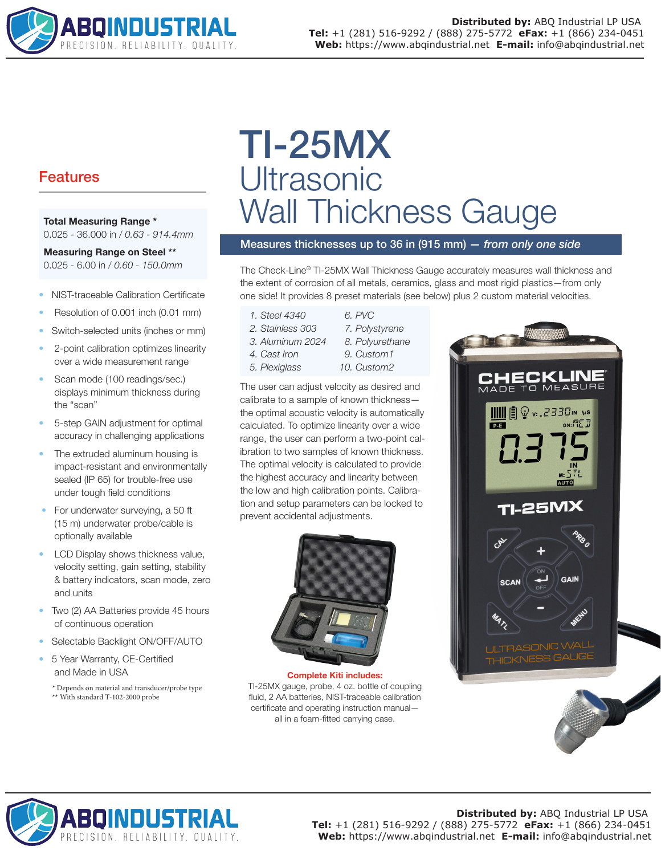

# Features

#### Total Measuring Range \* 0.025 - 36.000 in / *0.63 - 914.4mm*

Measuring Range on Steel \*\* 0.025 - 6.00 in / *0.60 - 150.0mm*

- NIST-traceable Calibration Certificate
- Resolution of 0.001 inch (0.01 mm)
- Switch-selected units (inches or mm)
- 2-point calibration optimizes linearity over a wide measurement range
- Scan mode (100 readings/sec.) displays minimum thickness during the "scan"
- 5-step GAIN adjustment for optimal accuracy in challenging applications
- The extruded aluminum housing is impact-resistant and environmentally sealed (IP 65) for trouble-free use under tough field conditions
- For underwater surveying, a 50 ft (15 m) underwater probe/cable is optionally available
- LCD Display shows thickness value, velocity setting, gain setting, stability & battery indicators, scan mode, zero and units
- Two (2) AA Batteries provide 45 hours of continuous operation
- Selectable Backlight ON/OFF/AUTO
- 5 Year Warranty, CE-Certified and Made in USA
	- \* Depends on material and transducer/probe type \*\* With standard T-102-2000 probe

TI-25MX **Ultrasonic** Wall Thickness Gauge

Measures thicknesses up to 36 in (915 mm) *— from only one side*

The Check-Line® TI-25MX Wall Thickness Gauge accurately measures wall thickness and the extent of corrosion of all metals, ceramics, glass and most rigid plastics—from only one side! It provides 8 preset materials (see below) plus 2 custom material velocities.

- *1. Steel 4340*
- *2. Stainless 303*
- 
- *4. Cast Iron 5. Plexiglass*
- 3. Aluminum 2024 8. Polyurethane *09. Custom1 10. Custom2*

*06. PVC 07. Polystyrene*

The user can adjust velocity as desired and calibrate to a sample of known thickness the optimal acoustic velocity is automatically calculated. To optimize linearity over a wide range, the user can perform a two-point calibration to two samples of known thickness. The optimal velocity is calculated to provide the highest accuracy and linearity between the low and high calibration points. Calibration and setup parameters can be locked to prevent accidental adjustments.



Complete Kiti includes: TI-25MX gauge, probe, 4 oz. bottle of coupling fluid, 2 AA batteries, NIST-traceable calibration certificate and operating instruction manual all in a foam-fitted carrying case.





#### **Distributed by:** ABQ Industrial LP USA **Tel:** +1 (281) 516-9292 / (888) 275-5772 **eFax:** +1 (866) 234-0451 **Web:** https://www.abqindustrial.net **E-mail:** info@abqindustrial.net